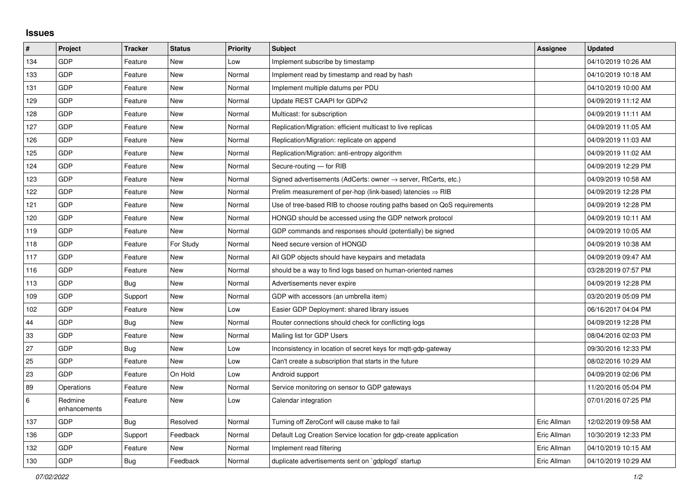## **Issues**

| #     | Project                 | <b>Tracker</b> | <b>Status</b> | Priority | <b>Subject</b>                                                             | Assignee    | <b>Updated</b>      |
|-------|-------------------------|----------------|---------------|----------|----------------------------------------------------------------------------|-------------|---------------------|
| 134   | GDP                     | Feature        | <b>New</b>    | Low      | Implement subscribe by timestamp                                           |             | 04/10/2019 10:26 AM |
| 133   | GDP                     | Feature        | <b>New</b>    | Normal   | Implement read by timestamp and read by hash                               |             | 04/10/2019 10:18 AM |
| 131   | GDP                     | Feature        | <b>New</b>    | Normal   | Implement multiple datums per PDU                                          |             | 04/10/2019 10:00 AM |
| 129   | GDP                     | Feature        | <b>New</b>    | Normal   | Update REST CAAPI for GDPv2                                                |             | 04/09/2019 11:12 AM |
| 128   | GDP                     | Feature        | <b>New</b>    | Normal   | Multicast: for subscription                                                |             | 04/09/2019 11:11 AM |
| 127   | GDP                     | Feature        | <b>New</b>    | Normal   | Replication/Migration: efficient multicast to live replicas                |             | 04/09/2019 11:05 AM |
| 126   | GDP                     | Feature        | <b>New</b>    | Normal   | Replication/Migration: replicate on append                                 |             | 04/09/2019 11:03 AM |
| 125   | GDP                     | Feature        | New           | Normal   | Replication/Migration: anti-entropy algorithm                              |             | 04/09/2019 11:02 AM |
| 124   | GDP                     | Feature        | New           | Normal   | Secure-routing - for RIB                                                   |             | 04/09/2019 12:29 PM |
| 123   | GDP                     | Feature        | <b>New</b>    | Normal   | Signed advertisements (AdCerts: owner $\rightarrow$ server, RtCerts, etc.) |             | 04/09/2019 10:58 AM |
| 122   | GDP                     | Feature        | <b>New</b>    | Normal   | Prelim measurement of per-hop (link-based) latencies $\Rightarrow$ RIB     |             | 04/09/2019 12:28 PM |
| 121   | GDP                     | Feature        | New           | Normal   | Use of tree-based RIB to choose routing paths based on QoS requirements    |             | 04/09/2019 12:28 PM |
| 120   | GDP                     | Feature        | <b>New</b>    | Normal   | HONGD should be accessed using the GDP network protocol                    |             | 04/09/2019 10:11 AM |
| 119   | GDP                     | Feature        | New           | Normal   | GDP commands and responses should (potentially) be signed                  |             | 04/09/2019 10:05 AM |
| 118   | GDP                     | Feature        | For Study     | Normal   | Need secure version of HONGD                                               |             | 04/09/2019 10:38 AM |
| 117   | GDP                     | Feature        | <b>New</b>    | Normal   | All GDP objects should have keypairs and metadata                          |             | 04/09/2019 09:47 AM |
| 116   | GDP                     | Feature        | <b>New</b>    | Normal   | should be a way to find logs based on human-oriented names                 |             | 03/28/2019 07:57 PM |
| 113   | GDP                     | Bug            | <b>New</b>    | Normal   | Advertisements never expire                                                |             | 04/09/2019 12:28 PM |
| 109   | GDP                     | Support        | <b>New</b>    | Normal   | GDP with accessors (an umbrella item)                                      |             | 03/20/2019 05:09 PM |
| 102   | GDP                     | Feature        | <b>New</b>    | Low      | Easier GDP Deployment: shared library issues                               |             | 06/16/2017 04:04 PM |
| 44    | GDP                     | <b>Bug</b>     | <b>New</b>    | Normal   | Router connections should check for conflicting logs                       |             | 04/09/2019 12:28 PM |
| 33    | GDP                     | Feature        | <b>New</b>    | Normal   | Mailing list for GDP Users                                                 |             | 08/04/2016 02:03 PM |
| 27    | GDP                     | <b>Bug</b>     | <b>New</b>    | Low      | Inconsistency in location of secret keys for mqtt-gdp-gateway              |             | 09/30/2016 12:33 PM |
| 25    | GDP                     | Feature        | <b>New</b>    | Low      | Can't create a subscription that starts in the future                      |             | 08/02/2016 10:29 AM |
| 23    | GDP                     | Feature        | On Hold       | Low      | Android support                                                            |             | 04/09/2019 02:06 PM |
| 89    | Operations              | Feature        | <b>New</b>    | Normal   | Service monitoring on sensor to GDP gateways                               |             | 11/20/2016 05:04 PM |
| $\,6$ | Redmine<br>enhancements | Feature        | New           | Low      | Calendar integration                                                       |             | 07/01/2016 07:25 PM |
| 137   | GDP                     | Bug            | Resolved      | Normal   | Turning off ZeroConf will cause make to fail                               | Eric Allman | 12/02/2019 09:58 AM |
| 136   | GDP                     | Support        | Feedback      | Normal   | Default Log Creation Service location for gdp-create application           | Eric Allman | 10/30/2019 12:33 PM |
| 132   | GDP                     | Feature        | <b>New</b>    | Normal   | Implement read filtering                                                   | Eric Allman | 04/10/2019 10:15 AM |
| 130   | GDP                     | Bug            | Feedback      | Normal   | duplicate advertisements sent on `gdplogd` startup                         | Eric Allman | 04/10/2019 10:29 AM |